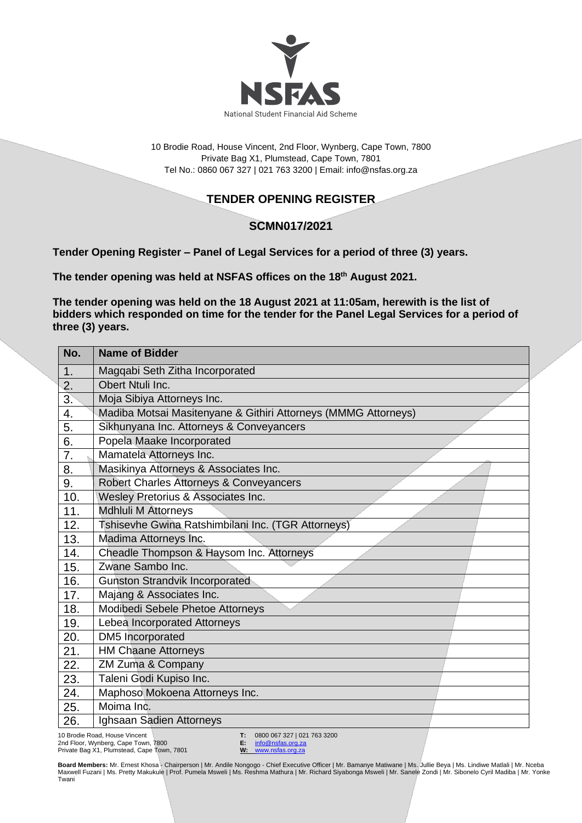

10 Brodie Road, House Vincent, 2nd Floor, Wynberg, Cape Town, 7800 Private Bag X1, Plumstead, Cape Town, 7801 Tel No.: 0860 067 327 | 021 763 3200 | Email[: info@nsfas.org.za](mailto:info@nsfas.org.za)

## **TENDER OPENING REGISTER**

## **SCMN017/2021**

**Tender Opening Register – Panel of Legal Services for a period of three (3) years.**

**The tender opening was held at NSFAS offices on the 18th August 2021.**

**The tender opening was held on the 18 August 2021 at 11:05am, herewith is the list of bidders which responded on time for the tender for the Panel Legal Services for a period of three (3) years.**

| No.                                                       | <b>Name of Bidder</b>                                          |  |
|-----------------------------------------------------------|----------------------------------------------------------------|--|
| 1.                                                        | Magqabi Seth Zitha Incorporated                                |  |
| 2.                                                        | Obert Ntuli Inc.                                               |  |
| 3.                                                        | Moja Sibiya Attorneys Inc.                                     |  |
| 4.                                                        | Madiba Motsai Masitenyane & Githiri Attorneys (MMMG Attorneys) |  |
| 5.                                                        | Sikhunyana Inc. Attorneys & Conveyancers                       |  |
| 6.                                                        | Popela Maake Incorporated                                      |  |
| 7.                                                        | Mamatela Attorneys Inc.                                        |  |
| 8.                                                        | Masikinya Attorneys & Associates Inc.                          |  |
| 9.                                                        | Robert Charles Attorneys & Conveyancers                        |  |
| 10.                                                       | Wesley Pretorius & Associates Inc.                             |  |
| 11.                                                       | Mdhluli M Attorneys                                            |  |
| 12.                                                       | Tshisevhe Gwina Ratshimbilani Inc. (TGR Attorneys)             |  |
| 13.                                                       | Madima Attorneys Inc.                                          |  |
| 14.                                                       | Cheadle Thompson & Haysom Inc. Attorneys                       |  |
| 15.                                                       | Zwane Sambo Inc.                                               |  |
| 16.                                                       | <b>Gunston Strandvik Incorporated</b>                          |  |
| 17.                                                       | Majang & Associates Inc.                                       |  |
| 18.                                                       | Modibedi Sebele Phetoe Attorneys                               |  |
| 19.                                                       | Lebea Incorporated Attorneys                                   |  |
| 20.                                                       | DM5 Incorporated                                               |  |
| 21.                                                       | <b>HM Chaane Attorneys</b>                                     |  |
| 22.                                                       | ZM Zuma & Company                                              |  |
| 23.                                                       | Taleni Godi Kupiso Inc.                                        |  |
| 24.                                                       | Maphoso Mokoena Attorneys Inc.                                 |  |
| 25.                                                       | Moima Inc.                                                     |  |
| 26.                                                       | Ighsaan Sadien Attorneys                                       |  |
| 10 Brodie Road. House Vincent<br>T: 080006732710217633200 |                                                                |  |

10 Brodie Road, House Vincent 2nd Floor, Wynberg, Cape Town, 7800 Private Bag X1, Plumstead, Cape Town, 7801

**T:** 0800 067 327 | 021 763 3200 **E:** [info@nsfas.org.za](mailto:info@nsfas.org.za) **W:** [www.nsfas.org.za](http://www.nsfas.org.za/)

**Board Members:** Mr. Ernest Khosa - Chairperson | Mr. Andile Nongogo - Chief Executive Officer | Mr. Bamanye Matiwane | Ms. Jullie Beya | Ms. Lindiwe Matlali | Mr. Nceba Maxwell Fuzani | Ms. Pretty Makukule | Prof. Pumela Msweli | Ms. Reshma Mathura | Mr. Richard Siyabonga Msweli | Mr. Sanele Zondi | Mr. Sibonelo Cyril Madiba | Mr. Yonke<br>Twani